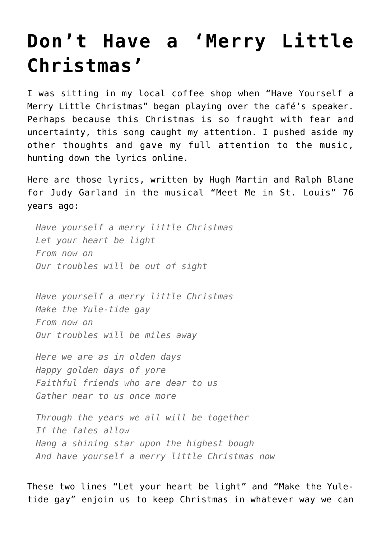## **[Don't Have a 'Merry Little](https://intellectualtakeout.org/2020/12/dont-have-a-merry-little-christmas/) [Christmas'](https://intellectualtakeout.org/2020/12/dont-have-a-merry-little-christmas/)**

I was sitting in my local coffee shop when "Have Yourself a Merry Little Christmas" began playing over the café's speaker. Perhaps because this Christmas is so fraught with fear and uncertainty, this song caught my attention. I pushed aside my other thoughts and gave my full attention to the music, hunting down the lyrics online.

Here are those lyrics, written by Hugh Martin and Ralph Blane for Judy Garland in the musical "Meet Me in St. Louis" 76 years ago:

*Have yourself a merry little Christmas Let your heart be light From now on Our troubles will be out of sight*

*Have yourself a merry little Christmas Make the Yule-tide gay From now on Our troubles will be miles away*

*Here we are as in olden days Happy golden days of yore Faithful friends who are dear to us Gather near to us once more*

*Through the years we all will be together If the fates allow Hang a shining star upon the highest bough And have yourself a merry little Christmas now*

These two lines "Let your heart be light" and "Make the Yuletide gay" enjoin us to keep Christmas in whatever way we can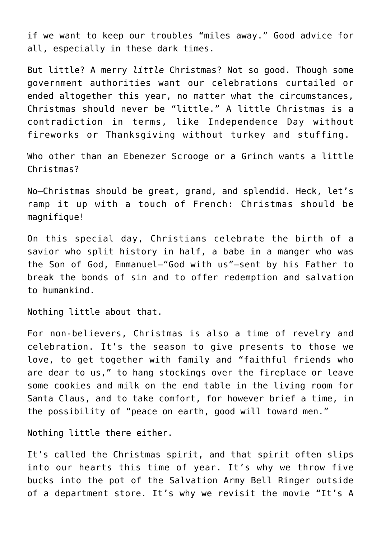if we want to keep our troubles "miles away." Good advice for all, especially in these dark times.

But little? A merry *little* Christmas? Not so good. Though some government authorities want our celebrations curtailed or ended altogether this year, no matter what the circumstances, Christmas should never be "little." A little Christmas is a contradiction in terms, like Independence Day without fireworks or Thanksgiving without turkey and stuffing.

Who other than an Ebenezer Scrooge or a Grinch wants a little Christmas?

No—Christmas should be great, grand, and splendid. Heck, let's ramp it up with a touch of French: Christmas should be magnifique!

On this special day, Christians celebrate the birth of a savior who split history in half, a babe in a manger who was the Son of God, Emmanuel—"God with us"—sent by his Father to break the bonds of sin and to offer redemption and salvation to humankind.

Nothing little about that.

For non-believers, Christmas is also a time of revelry and celebration. It's the season to give presents to those we love, to get together with family and "faithful friends who are dear to us," to hang stockings over the fireplace or leave some cookies and milk on the end table in the living room for Santa Claus, and to take comfort, for however brief a time, in the possibility of "peace on earth, good will toward men."

Nothing little there either.

It's called the Christmas spirit, and that spirit often slips into our hearts this time of year. It's why we throw five bucks into the pot of the Salvation Army Bell Ringer outside of a department store. It's why we revisit the movie "It's A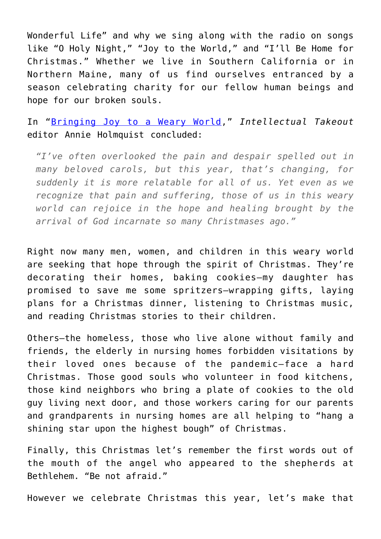Wonderful Life" and why we sing along with the radio on songs like "O Holy Night," "Joy to the World," and "I'll Be Home for Christmas." Whether we live in Southern California or in Northern Maine, many of us find ourselves entranced by a season celebrating charity for our fellow human beings and hope for our broken souls.

In "[Bringing Joy to a Weary World](https://www.intellectualtakeout.org/bringing-joy-to-a-weary-world/)," *Intellectual Takeout* editor Annie Holmquist concluded:

*"I've often overlooked the pain and despair spelled out in many beloved carols, but this year, that's changing, for suddenly it is more relatable for all of us. Yet even as we recognize that pain and suffering, those of us in this weary world can rejoice in the hope and healing brought by the arrival of God incarnate so many Christmases ago."*

Right now many men, women, and children in this weary world are seeking that hope through the spirit of Christmas. They're decorating their homes, baking cookies—my daughter has promised to save me some spritzers—wrapping gifts, laying plans for a Christmas dinner, listening to Christmas music, and reading Christmas stories to their children.

Others—the homeless, those who live alone without family and friends, the elderly in nursing homes forbidden visitations by their loved ones because of the pandemic—face a hard Christmas. Those good souls who volunteer in food kitchens, those kind neighbors who bring a plate of cookies to the old guy living next door, and those workers caring for our parents and grandparents in nursing homes are all helping to "hang a shining star upon the highest bough" of Christmas.

Finally, this Christmas let's remember the first words out of the mouth of the angel who appeared to the shepherds at Bethlehem. "Be not afraid."

However we celebrate Christmas this year, let's make that